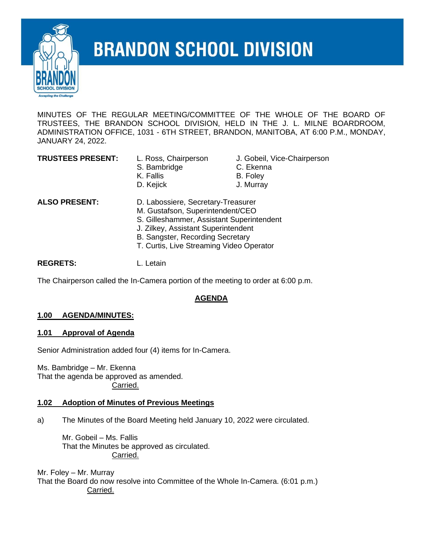

# **BRANDON SCHOOL DIVISION**

MINUTES OF THE REGULAR MEETING/COMMITTEE OF THE WHOLE OF THE BOARD OF TRUSTEES, THE BRANDON SCHOOL DIVISION, HELD IN THE J. L. MILNE BOARDROOM, ADMINISTRATION OFFICE, 1031 - 6TH STREET, BRANDON, MANITOBA, AT 6:00 P.M., MONDAY, JANUARY 24, 2022.

| <b>TRUSTEES PRESENT:</b> |  |
|--------------------------|--|
|--------------------------|--|

- S. Bambridge **C. Ekenna** K. Fallis B. Foley
- L. Ross, Chairperson J. Gobeil, Vice-Chairperson
	-
	-
- D. Kejick **J. Murray**

- **ALSO PRESENT:** D. Labossiere, Secretary-Treasurer M. Gustafson, Superintendent/CEO
	- S. Gilleshammer, Assistant Superintendent
	- J. Zilkey, Assistant Superintendent
	- B. Sangster, Recording Secretary
	- T. Curtis, Live Streaming Video Operator

**REGRETS:** L. Letain

The Chairperson called the In-Camera portion of the meeting to order at 6:00 p.m.

## **AGENDA**

## **1.00 AGENDA/MINUTES:**

#### **1.01 Approval of Agenda**

Senior Administration added four (4) items for In-Camera.

Ms. Bambridge – Mr. Ekenna That the agenda be approved as amended. Carried.

#### **1.02 Adoption of Minutes of Previous Meetings**

a) The Minutes of the Board Meeting held January 10, 2022 were circulated.

Mr. Gobeil – Ms. Fallis That the Minutes be approved as circulated. Carried.

Mr. Foley – Mr. Murray That the Board do now resolve into Committee of the Whole In-Camera. (6:01 p.m.) Carried.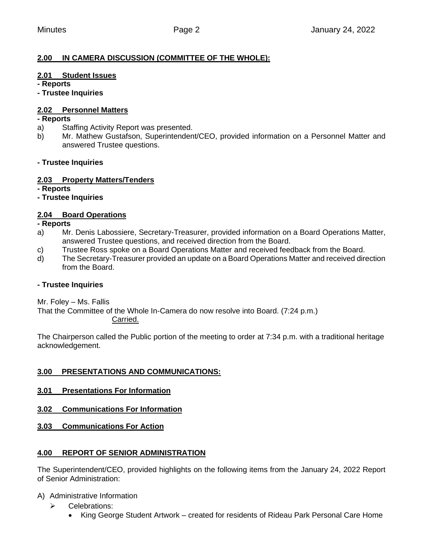## **2.00 IN CAMERA DISCUSSION (COMMITTEE OF THE WHOLE):**

#### **2.01 Student Issues**

**- Reports**

**- Trustee Inquiries**

#### **2.02 Personnel Matters**

#### **- Reports**

- a) Staffing Activity Report was presented.
- b) Mr. Mathew Gustafson, Superintendent/CEO, provided information on a Personnel Matter and answered Trustee questions.

#### **- Trustee Inquiries**

#### **2.03 Property Matters/Tenders**

**- Reports**

#### **- Trustee Inquiries**

## **2.04 Board Operations**

**- Reports**

- a) Mr. Denis Labossiere, Secretary-Treasurer, provided information on a Board Operations Matter, answered Trustee questions, and received direction from the Board.
- c) Trustee Ross spoke on a Board Operations Matter and received feedback from the Board.
- d) The Secretary-Treasurer provided an update on a Board Operations Matter and received direction from the Board.

#### **- Trustee Inquiries**

Mr. Foley – Ms. Fallis

That the Committee of the Whole In-Camera do now resolve into Board. (7:24 p.m.) Carried.

The Chairperson called the Public portion of the meeting to order at 7:34 p.m. with a traditional heritage acknowledgement.

## **3.00 PRESENTATIONS AND COMMUNICATIONS:**

- **3.01 Presentations For Information**
- **3.02 Communications For Information**

## **3.03 Communications For Action**

## **4.00 REPORT OF SENIOR ADMINISTRATION**

The Superintendent/CEO, provided highlights on the following items from the January 24, 2022 Report of Senior Administration:

A) Administrative Information

- ➢ Celebrations:
	- King George Student Artwork created for residents of Rideau Park Personal Care Home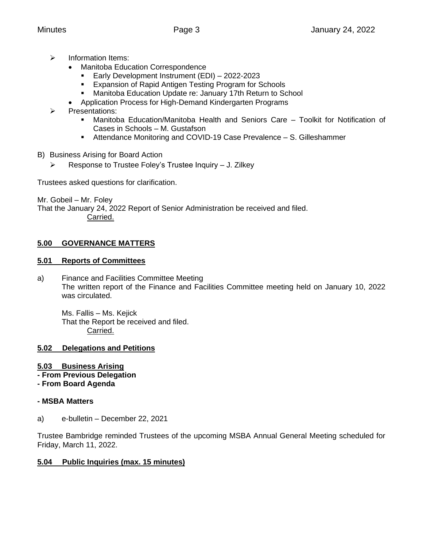- ➢ Information Items:
	- Manitoba Education Correspondence
		- Early Development Instrument (EDI) 2022-2023
		- Expansion of Rapid Antigen Testing Program for Schools
		- Manitoba Education Update re: January 17th Return to School
		- Application Process for High-Demand Kindergarten Programs
- ➢ Presentations:
	- Manitoba Education/Manitoba Health and Seniors Care Toolkit for Notification of Cases in Schools – M. Gustafson
	- Attendance Monitoring and COVID-19 Case Prevalence S. Gilleshammer
- B) Business Arising for Board Action
	- ➢ Response to Trustee Foley's Trustee Inquiry J. Zilkey

Trustees asked questions for clarification.

Mr. Gobeil – Mr. Foley That the January 24, 2022 Report of Senior Administration be received and filed. Carried.

## **5.00 GOVERNANCE MATTERS**

#### **5.01 Reports of Committees**

a) Finance and Facilities Committee Meeting The written report of the Finance and Facilities Committee meeting held on January 10, 2022 was circulated.

Ms. Fallis – Ms. Kejick That the Report be received and filed. Carried.

## **5.02 Delegations and Petitions**

## **5.03 Business Arising**

- **- From Previous Delegation**
- **- From Board Agenda**

## **- MSBA Matters**

a) e-bulletin – December 22, 2021

Trustee Bambridge reminded Trustees of the upcoming MSBA Annual General Meeting scheduled for Friday, March 11, 2022.

## **5.04 Public Inquiries (max. 15 minutes)**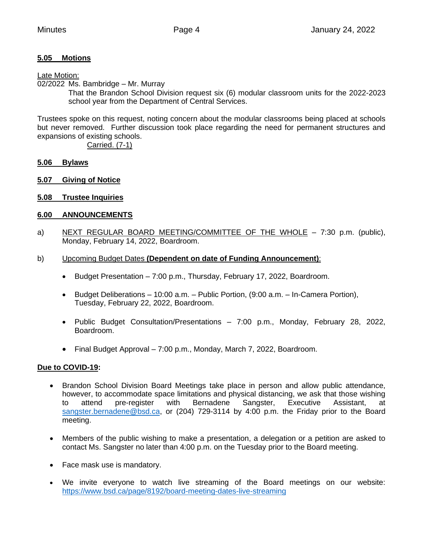## **5.05 Motions**

#### Late Motion:

02/2022 Ms. Bambridge – Mr. Murray

That the Brandon School Division request six (6) modular classroom units for the 2022-2023 school year from the Department of Central Services.

Trustees spoke on this request, noting concern about the modular classrooms being placed at schools but never removed. Further discussion took place regarding the need for permanent structures and expansions of existing schools.

Carried. (7-1)

#### **5.06 Bylaws**

- **5.07 Giving of Notice**
- **5.08 Trustee Inquiries**

#### **6.00 ANNOUNCEMENTS**

- a) NEXT REGULAR BOARD MEETING/COMMITTEE OF THE WHOLE 7:30 p.m. (public), Monday, February 14, 2022, Boardroom.
- b) Upcoming Budget Dates **(Dependent on date of Funding Announcement)**:
	- Budget Presentation 7:00 p.m., Thursday, February 17, 2022, Boardroom.
	- Budget Deliberations 10:00 a.m. Public Portion, (9:00 a.m. In-Camera Portion), Tuesday, February 22, 2022, Boardroom.
	- Public Budget Consultation/Presentations 7:00 p.m., Monday, February 28, 2022, Boardroom.
	- Final Budget Approval 7:00 p.m., Monday, March 7, 2022, Boardroom.

#### **Due to COVID-19:**

- Brandon School Division Board Meetings take place in person and allow public attendance, however, to accommodate space limitations and physical distancing, we ask that those wishing to attend pre-register with Bernadene Sangster, Executive Assistant, at [sangster.bernadene@bsd.ca,](mailto:sangster.bernadene@bsd.ca) or (204) 729-3114 by 4:00 p.m. the Friday prior to the Board meeting.
- Members of the public wishing to make a presentation, a delegation or a petition are asked to contact Ms. Sangster no later than 4:00 p.m. on the Tuesday prior to the Board meeting.
- Face mask use is mandatory.
- We invite everyone to watch live streaming of the Board meetings on our website: <https://www.bsd.ca/page/8192/board-meeting-dates-live-streaming>